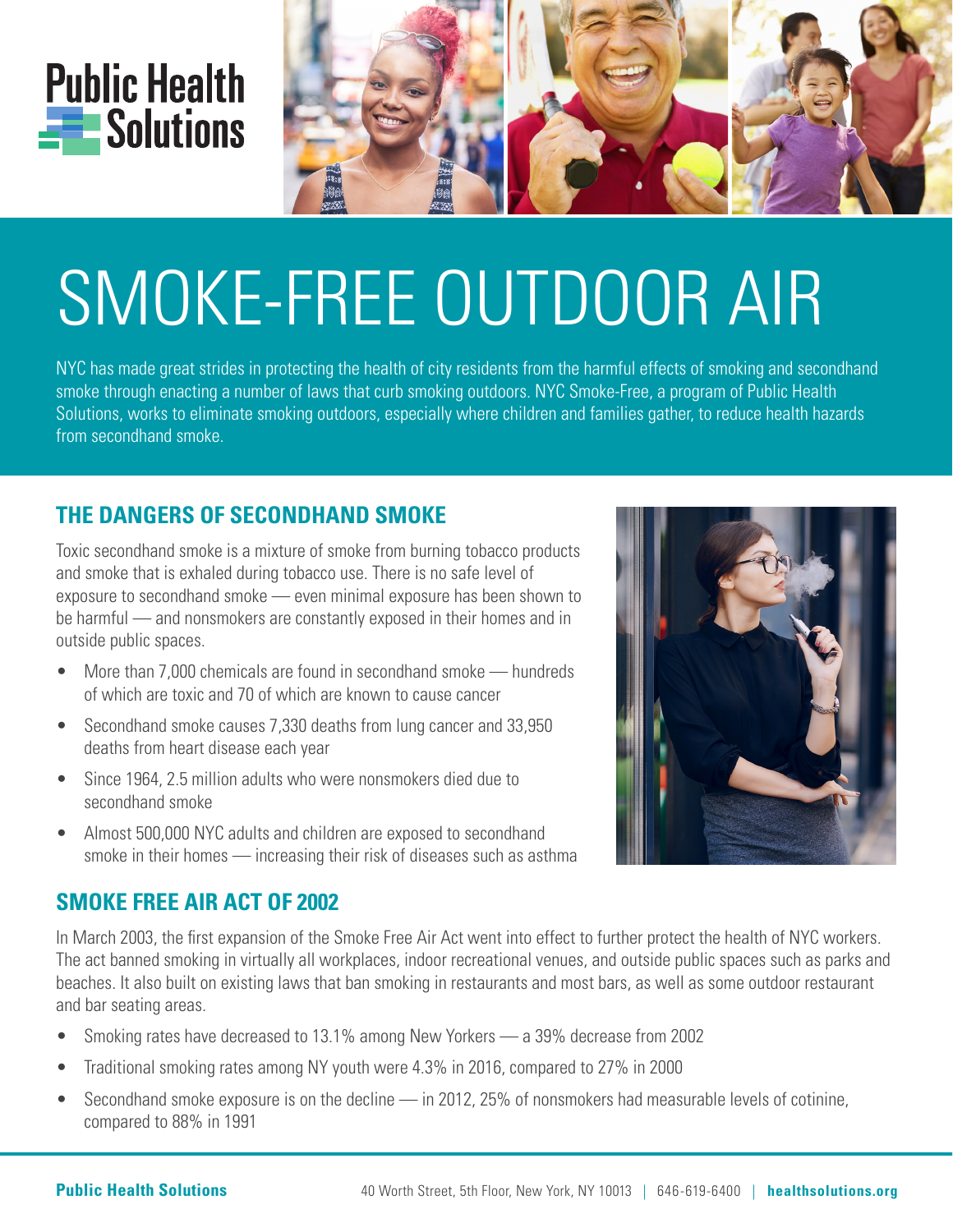



# SMOKE-FREE OUTDOOR AIR

NYC has made great strides in protecting the health of city residents from the harmful effects of smoking and secondhand smoke through enacting a number of laws that curb smoking outdoors. NYC Smoke-Free, a program of Public Health Solutions, works to eliminate smoking outdoors, especially where children and families gather, to reduce health hazards from secondhand smoke.

## **THE DANGERS OF SECONDHAND SMOKE**

Toxic secondhand smoke is a mixture of smoke from burning tobacco products and smoke that is exhaled during tobacco use. There is no safe level of exposure to secondhand smoke — even minimal exposure has been shown to be harmful — and nonsmokers are constantly exposed in their homes and in outside public spaces.

- More than 7,000 chemicals are found in secondhand smoke hundreds of which are toxic and 70 of which are known to cause cancer
- Secondhand smoke causes 7,330 deaths from lung cancer and 33,950 deaths from heart disease each year
- Since 1964, 2.5 million adults who were nonsmokers died due to secondhand smoke
- Almost 500,000 NYC adults and children are exposed to secondhand smoke in their homes — increasing their risk of diseases such as asthma

#### **SMOKE FREE AIR ACT OF 2002**

In March 2003, the first expansion of the Smoke Free Air Act went into effect to further protect the health of NYC workers. The act banned smoking in virtually all workplaces, indoor recreational venues, and outside public spaces such as parks and beaches. It also built on existing laws that ban smoking in restaurants and most bars, as well as some outdoor restaurant and bar seating areas.

- Smoking rates have decreased to 13.1% among New Yorkers a 39% decrease from 2002
- Traditional smoking rates among NY youth were 4.3% in 2016, compared to 27% in 2000
- Secondhand smoke exposure is on the decline in 2012, 25% of nonsmokers had measurable levels of cotinine, compared to 88% in 1991